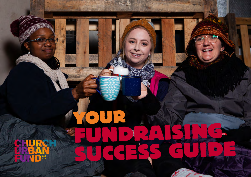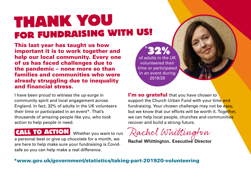# **THANK YOU FOR FUNDRAISING WITH US!**

This last year has taught us how important it is to work together and help our local community. Every one of us has faced challenges due to the pandemic – none more so than families and communities who were already struggling due to inequality and financial stress.

I have been proud to witness the up-surge in community spirit and local engagement across England. In fact, 32% of adults in the UK volunteers their time or participated in an event\*. That's thousands of amazing people like you, who took action to help people in need.

## **CALL TO ACTION** Whether you want to run

a personal best or give up chocolate for a month, we are here to help make sure your fundraising is Covidsafe so you can help make a real difference.

\* **32%** of adults in the UK volunteered their time or participated in an event during 2019/20

I'm so grateful that you have chosen to support the Church Urban Fund with your time and fundraising. Your chosen challenge may not be easy, but we know that our efforts will be worth it. Together, we can help local people, churches and communities recover and build a strong future.

Rachel Whittington

**Rachel Whittington, Executive Director** 

### [\\*www.gov.uk/government/statistics/taking-part-201920-volunteering](https://www.gov.uk/government/statistics/taking-part-201920-volunteering)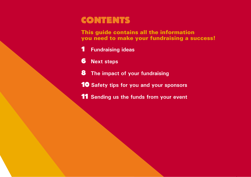# **CONTENTS**

This guide contains all the information you need to make your fundraising a success!

- **Fundraising ideas**
- **Next steps**
- **The impact of your fundraising**
- **Safety tips for you and your sponsors**
- **Sending us the funds from your event**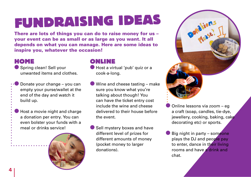# **FUNDRAISING IDEAS**

There are lots of things you can do to raise money for us – your event can be as small or as large as you want. It all depends on what you can manage. Here are some ideas to inspire you, whatever the occasion!

### **HOME**

● Spring clean! Sell your unwanted items and clothes.

Donate your change – you can empty your purse/wallet at the end of the day and watch it build up.

Host a movie night and charge a donation per entry. You can even bolster your funds with a meal or drinks service!



### **ONLINE**

- Host a virtual 'pub' quiz or a cook-a-long.
- Wine and cheese tasting make sure you know what you're talking about though! You can have the ticket entry cost include the wine and cheese delivered to their house before the event.
- Sell mystery boxes and have different level of prizes for different amounts of money (pocket money to larger donations).



- Online lessons via zoom eg a craft (soap, candles, tie-dye, jewellery, cooking, baking, cake decorating etc) or sports.
- Big night in party someone plays the DJ and people pay to enter, dance in their living rooms and have a drink and chat.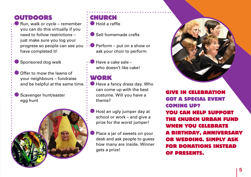### **OUTDOORS**

Run, walk or cycle – remember you can do this virtually if you need to follow restrictions – just make sure you log your progress so people can see you have completed it!

● Sponsored dog walk

Offer to mow the lawns of your neighbours – fundraise and be helpful at the same time.

Scavenger hunt/easter egg hunt

## **CHURCH**

● Hold a raffle

- Sell homemade crafts
- $\bullet$  Perform put on a show or ask your choir to perform

Have a cake sale – who doesn't like cake!

### **WORK**

- Have a fancy dress day. Who can come up with the best costume. Will you have a theme?
- Host an ugly jumper day at school or work – and give a prize for the worst jumper!
- Place a jar of sweets on your desk and ask people to guess how many are inside. Winner gets a prize!



**GIVE IN CELEBRATION GOT A SPECIAL EVENT COMING UP? YOU CAN HELP SUPPORT THE CHURCH URBAN FUND WHEN YOU CELEBRATE A BIRTHDAY, ANNIVERSARY OR WEDDING. SIMPLY ASK FOR DONATIONS INSTEAD OF PRESENTS.**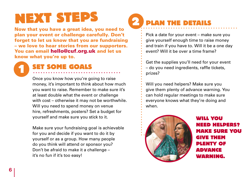# **NEXT STEPS**

Now that you have a great idea, you need to plan your event or challenge carefully. Don't forget to let us know that you are fundraising – we love to hear stories from our supporters. You can email [hello@cuf.org.uk a](mailto:hello@cuf.org.uk)nd let us know what you're up to.

# **SET SOME GOALS**

Once you know how you're going to raise money, it's important to think about how much you want to raise. Remember to make sure it's at least double what the event or challenge with cost – otherwise it may not be worthwhile. Will you need to spend money on venue hire, refreshments, posters? Set a budget for yourself and make sure you stick to it.

Make sure your fundraising goal is achievable for you and decide if you want to do it by yourself or as a group. How many people do you think will attend or sponsor you? Don't be afraid to make it a challenge – it's no fun if it's too easy!

#### **PLAN THE DETAILS 2**

Pick a date for your event – make sure you give yourself enough time to raise money and train if you have to. Will it be a one day event? Will it be over a time frame?

Get the supplies you'll need for your event – do you need ingredients, raffle tickets, prizes?

Will you need helpers? Make sure you give them plenty of advance warning. You can hold regular meetings to make sure everyone knows what they're doing and when.



**WILL YOU NEED HELPERS? MAKE SURE YOU GIVE THEM PLENTY OF ADVANCE WARNING.**

**1**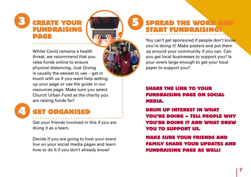### **3 CREATE YOUR FUNDRAISING PAGE**

Whilst Covid remains a health threat, we recommend that you raise funds online to ensure physical distancing. Just Giving is usually the easiest to use – get in touch with us if you want help setting up your page or use the guide in our resources page. Make sure you select Church Urban Fund as the charity you are raising funds for!



## **GET ORGANISED**

Get your friends involved in this if you are doing it as a team.

Decide if you are going to host your event live on your social media pages and learn how to do it if you don't already know!

# **SPREAD THE WOR START FUNDRAISING!**

**5**

You can't get sponsored if people don't know you're doing it! Make posters and put them up around your community if you can. Can you get local businesses to support you? Is your event large enough to get your local paper to support you?

### **SHARE THE LINK TO YOUR FUNDRAISING PAGE ON SOCIAL MEDIA.**

**DRUM UP INTEREST IN WHAT YOU'RE DOING – TELL PEOPLE WHY YOU'RE DOING IT AND WHAT DREW YOU TO SUPPORT US.** 

**MAKE SURE YOUR FRIENDS AND FAMILY SHARE YOUR UPDATES AND FUNDRAISING PAGE AS WELL!**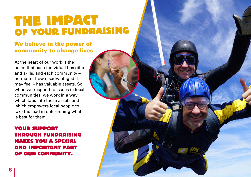# **THE IMPACT OF YOUR FUNDRAISING**

### We believe in the power of community to change lives.

At the heart of our work is the belief that each individual has gifts and skills, and each community – no matter how disadvantaged it may feel – has valuable assets. So, when we respond to issues in local communities, we work in a way which taps into these assets and which empowers local people to take the lead in determining what is best for them.

### **YOUR SUPPORT THROUGH FUNDRAISING MAKES YOU A SPECIAL AND IMPORTANT PART OF OUR COMMUNITY.**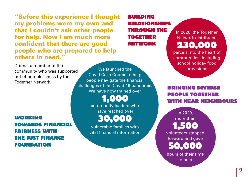"Before this experience I thought my problems were my own and that I couldn't ask other people for help. Now I am much more confident that there are good people who are prepared to help others in need."

Donna, a member of the community who was supported out of homelessness by the Together Network.

**WORKING TOWARDS FINANCIAL FAIRNESS WITH THE JUST FINANCE FOUNDATION**

We launched the provisions Covid Cash Course to help people navigate the financial challenges of the Covid-19 pandemic. We have now trained over

**1,000** community leaders who have reached over

**30,000** 

vulnerable families with vital financial information

**BUILDING RELATIONSHIPS THROUGH THE TOGETHER NETWORK**

In 2020, the Together Network distributed **230,000** parcels into the heart of communities, including school holiday food

**BRINGING DIVERSE PEOPLE TOGETHER WITH NEAR NEIGHBOURS**

In 2020, more than **1,500**  volunteers stepped forward and gave **50,000** hours of their time

to help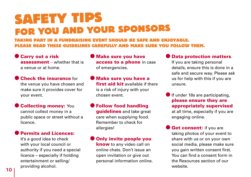# **SAFETY TIPS FOR YOU AND YOUR SPONSORS**

**TAKING PART IN A FUNDRAISING EVENT SHOULD BE SAFE AND ENJOYABLE. PLEASE READ THESE GUIDELINES CAREFULLY AND MAKE SURE YOU FOLLOW THEM.**

- Carry out a risk assessment – whether that is a venue or at home.
- $\bullet$  Check the insurance for the venue you have chosen and make sure it provides cover for your event.
- **Collecting money: You**

cannot collect money in a public space or street without a licence.

**Permits and Licences:** 

It's a good idea to check with your local council or authority if you need a special licence – especially if holding entertainment or selling/ providing alcohol.

- **Make sure you have** access to a phone in case of emergencies.
- Make sure you have a first aid kit available if there is a risk of injury with your chosen event.
- Follow food handling guidelines and take great care when supplying food. Remember to check for allergies!
- Only invite people you know to any video call on online chats. Don't issue an open invitation or give out personal information online.

#### Data protection matters.

If you are taking personal details, ensure this is done in a safe and secure way. Please ask us for help with this if you are unsure.

If under 18s are participating, please ensure they are appropriately supervised

at all time, especially if you are engaging online.

**Get consent:** if you are taking photos of your event to share with us or on your own social media, please make sure you gain written consent first. You can find a consent form in the Resources section of our website.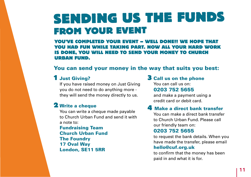# **SENDING US THE FUNDS FROM YOUR EVENT**

**YOU'VE COMPLETED YOUR EVENT – WELL DONE!! WE HOPE THAT YOU HAD FUN WHILE TAKING PART. NOW ALL YOUR HARD WORK IS DONE, YOU WILL NEED TO SEND YOUR MONEY TO CHURCH URBAN FUND.**

### You can send your money in the way that suits you best:

### **1** Just Giving?

If you have raised money on Just Giving you do not need to do anything more they will send the money directly to us.

### **2** Write a cheque

You can write a cheque made payable to Church Urban Fund and send it with a note to:

Fundraising Team Church Urban Fund The Foundry 17 Oval Way London, SE11 5RR

#### **3** Call us on the phone You can call us on: 0203 752 5655

and make a payment using a credit card or debit card.

### **4** Make a direct bank transfer

You can make a direct bank transfer to Church Urban Fund. Please call our friendly team on:

#### 0203 752 5655

to request the bank details. When you have made the transfer, please email

#### [hello@cuf.org.uk](mailto:hello@cuf.org.uk)

to confirm that the money has been paid in and what it is for.